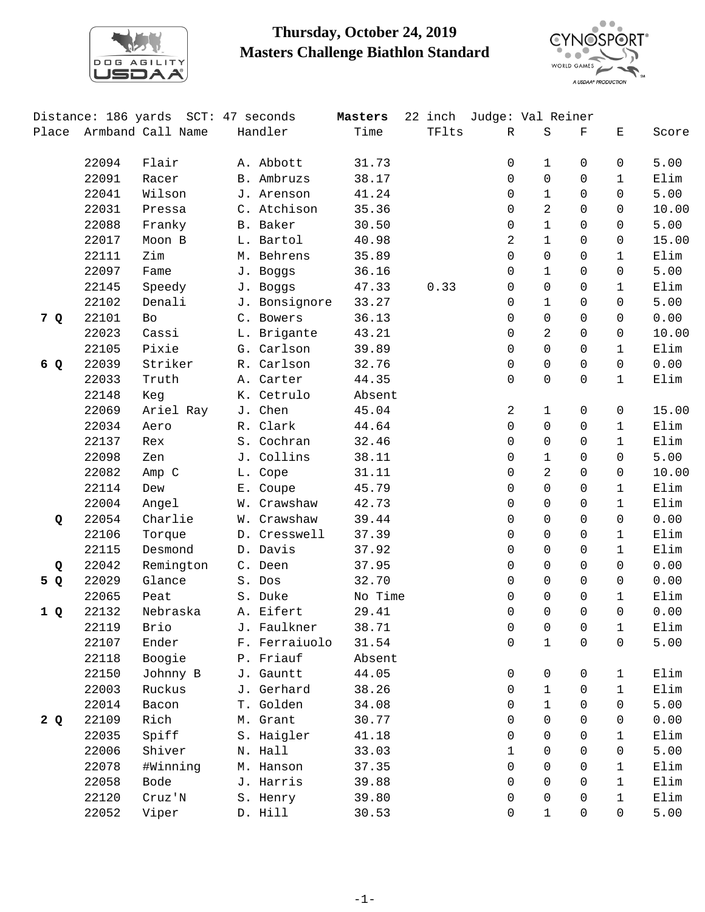

## **Thursday, October 24, 2019 Masters Challenge Biathlon Standard**



|       |       | Distance: 186 yards SCT: 47 seconds |               | Masters | 22 inch | Judge: Val Reiner |                |                |              |       |
|-------|-------|-------------------------------------|---------------|---------|---------|-------------------|----------------|----------------|--------------|-------|
| Place |       | Armband Call Name                   | Handler       | Time    | TFlts   | $\mathbb{R}$      | $\rm S$        | $\mathbf F$    | Ε            | Score |
|       | 22094 | Flair                               | A. Abbott     | 31.73   |         | 0                 | 1              | $\Omega$       | 0            | 5.00  |
|       | 22091 | Racer                               | B. Ambruzs    | 38.17   |         | 0                 | $\Omega$       | $\Omega$       | $\mathbf{1}$ | Elim  |
|       | 22041 | Wilson                              | J. Arenson    | 41.24   |         | 0                 | 1              | $\Omega$       | $\Omega$     | 5.00  |
|       | 22031 | Pressa                              | C. Atchison   | 35.36   |         | 0                 | $\overline{2}$ | $\mathbf 0$    | $\Omega$     | 10.00 |
|       | 22088 | Franky                              | B. Baker      | 30.50   |         | 0                 | $\mathbf 1$    | $\Omega$       | 0            | 5.00  |
|       | 22017 | Moon B                              | L. Bartol     | 40.98   |         | 2                 | 1              | $\Omega$       | 0            | 15.00 |
|       | 22111 | Zim                                 | M. Behrens    | 35.89   |         | 0                 | 0              | $\Omega$       | $\mathbf 1$  | Elim  |
|       | 22097 | Fame                                | J. Boggs      | 36.16   |         | 0                 | $\mathbf 1$    | $\Omega$       | 0            | 5.00  |
|       | 22145 | Speedy                              | J. Boggs      | 47.33   | 0.33    | 0                 | 0              | $\Omega$       | 1            | Elim  |
|       | 22102 | Denali                              | J. Bonsignore | 33.27   |         | 0                 | 1              | $\Omega$       | $\Omega$     | 5.00  |
| 7 Q   | 22101 | Bo                                  | C. Bowers     | 36.13   |         | 0                 | $\Omega$       | $\Omega$       | $\Omega$     | 0.00  |
|       | 22023 | Cassi                               | L. Brigante   | 43.21   |         | 0                 | $\overline{2}$ | $\Omega$       | $\Omega$     | 10.00 |
|       | 22105 | Pixie                               | G. Carlson    | 39.89   |         | 0                 | 0              | $\Omega$       | 1            | Elim  |
| 6 Q   | 22039 | Striker                             | R. Carlson    | 32.76   |         | 0                 | 0              | $\Omega$       | $\Omega$     | 0.00  |
|       | 22033 | Truth                               | A. Carter     | 44.35   |         | 0                 | $\Omega$       | $\Omega$       | $\mathbf{1}$ | Elim  |
|       | 22148 | Keg                                 | K. Cetrulo    | Absent  |         |                   |                |                |              |       |
|       | 22069 | Ariel Ray                           | J. Chen       | 45.04   |         | 2                 | 1              | 0              | 0            | 15.00 |
|       | 22034 | Aero                                | R. Clark      | 44.64   |         | 0                 | $\Omega$       | $\Omega$       | $\mathbf{1}$ | Elim  |
|       | 22137 | Rex                                 | S. Cochran    | 32.46   |         | $\Omega$          | $\Omega$       | $\Omega$       | $\mathbf{1}$ | Elim  |
|       | 22098 | Zen                                 | J. Collins    | 38.11   |         | 0                 | 1              | $\Omega$       | $\Omega$     | 5.00  |
|       | 22082 | Amp C                               | L. Cope       | 31.11   |         | $\mathbf 0$       | $\overline{a}$ | $\Omega$       | 0            | 10.00 |
|       | 22114 | Dew                                 | E. Coupe      | 45.79   |         | 0                 | $\Omega$       | $\Omega$       | 1            | Elim  |
|       | 22004 | Angel                               | W. Crawshaw   | 42.73   |         | 0                 | $\Omega$       | $\Omega$       | 1            | Elim  |
| Q     | 22054 | Charlie                             | W. Crawshaw   | 39.44   |         | 0                 | 0              | $\Omega$       | $\mathbf 0$  | 0.00  |
|       | 22106 | Torque                              | D. Cresswell  | 37.39   |         | 0                 | 0              | $\mathbf 0$    | $\mathbf{1}$ | Elim  |
|       | 22115 | Desmond                             | D. Davis      | 37.92   |         | 0                 | 0              | $\Omega$       | $\mathbf{1}$ | Elim  |
| Q     | 22042 | Remington                           | C. Deen       | 37.95   |         | 0                 | $\Omega$       | $\Omega$       | $\Omega$     | 0.00  |
| 5 Q   | 22029 | Glance                              | S. Dos        | 32.70   |         | 0                 | $\Omega$       | $\Omega$       | $\Omega$     | 0.00  |
|       | 22065 | Peat                                | S. Duke       | No Time |         | 0                 | 0              | 0              | $\mathbf{1}$ | Elim  |
| 1Q    | 22132 | Nebraska                            | A. Eifert     | 29.41   |         | 0                 | $\Omega$       | $\Omega$       | $\Omega$     | 0.00  |
|       | 22119 | Brio                                | J. Faulkner   | 38.71   |         | 0                 | 0              | $\overline{0}$ | $\mathbf{1}$ | Elim  |
|       | 22107 | Ender                               | F. Ferraiuolo | 31.54   |         | 0                 | $\mathbf{1}$   | 0              | $\mathbf 0$  | 5.00  |
|       | 22118 | Boogie                              | P. Friauf     | Absent  |         |                   |                |                |              |       |
|       | 22150 | Johnny B                            | J. Gauntt     | 44.05   |         | $\mathbf 0$       | 0              | 0              | 1            | Elim  |
|       | 22003 | Ruckus                              | J. Gerhard    | 38.26   |         | 0                 | $\mathbf{1}$   | $\Omega$       | $\mathbf{1}$ | Elim  |
|       | 22014 | Bacon                               | T. Golden     | 34.08   |         | 0                 | $\mathbf{1}$   | $\Omega$       | $\Omega$     | 5.00  |
| 2Q    | 22109 | Rich                                | M. Grant      | 30.77   |         | 0                 | 0              | $\mathbf 0$    | 0            | 0.00  |
|       | 22035 | Spiff                               | S. Haigler    | 41.18   |         | 0                 | 0              | $\Omega$       | 1            | Elim  |
|       | 22006 | Shiver                              | N. Hall       | 33.03   |         | 1                 | $\Omega$       | $\Omega$       | $\Omega$     | 5.00  |
|       | 22078 | #Winning                            | M. Hanson     | 37.35   |         | 0                 | $\Omega$       | $\Omega$       | 1            | Elim  |
|       | 22058 | Bode                                | J. Harris     | 39.88   |         | 0                 | 0              | $\Omega$       | $\mathbf{1}$ | Elim  |
|       | 22120 | Cruz'N                              | S. Henry      | 39.80   |         | 0                 | 0              | $\Omega$       | $\mathbf{1}$ | Elim  |
|       | 22052 | Viper                               | D. Hill       | 30.53   |         | 0                 | 1              | 0              | 0            | 5.00  |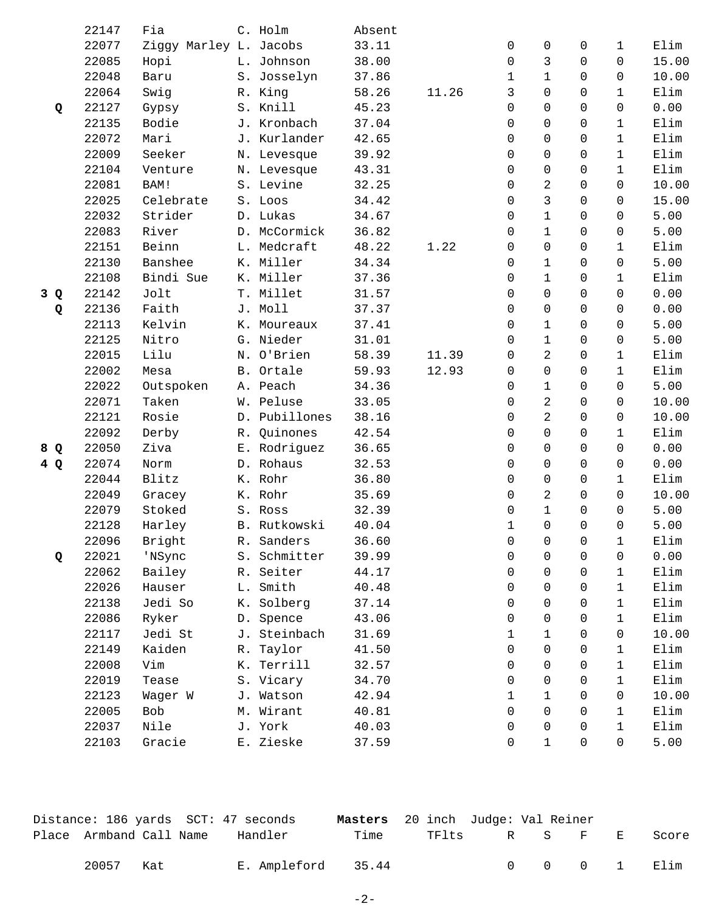|     | 22147 | Fia                    | C. Holm       | Absent |       |              |                |                |              |       |
|-----|-------|------------------------|---------------|--------|-------|--------------|----------------|----------------|--------------|-------|
|     | 22077 | Ziggy Marley L. Jacobs |               | 33.11  |       | $\mathbf 0$  | 0              | 0              | $\mathbf{1}$ | Elim  |
|     | 22085 | Hopi                   | L. Johnson    | 38.00  |       | 0            | 3              | $\Omega$       | $\Omega$     | 15.00 |
|     | 22048 | Baru                   | S. Josselyn   | 37.86  |       | $\mathbf{1}$ | $\mathbf{1}$   | $\Omega$       | $\Omega$     | 10.00 |
|     | 22064 | Swig                   | R. King       | 58.26  | 11.26 | 3            | 0              | $\Omega$       | $\mathbf{1}$ | Elim  |
| Q   | 22127 | Gypsy                  | S. Knill      | 45.23  |       | 0            | 0              | $\Omega$       | $\Omega$     | 0.00  |
|     | 22135 | Bodie                  | J. Kronbach   | 37.04  |       | $\Omega$     | $\Omega$       | $\Omega$       | $\mathbf{1}$ | Elim  |
|     | 22072 | Mari                   | J. Kurlander  | 42.65  |       | $\Omega$     | $\Omega$       | $\Omega$       | $\mathbf{1}$ | Elim  |
|     | 22009 | Seeker                 | N. Levesque   | 39.92  |       | 0            | 0              | $\Omega$       | $\mathbf{1}$ | Elim  |
|     | 22104 | Venture                | N. Levesque   | 43.31  |       | $\mathbf 0$  | 0              | $\mathsf{O}$   | $\mathbf{1}$ | Elim  |
|     | 22081 | BAM!                   | S. Levine     | 32.25  |       | $\Omega$     | 2              | $\Omega$       | $\Omega$     | 10.00 |
|     | 22025 | Celebrate              | S. Loos       | 34.42  |       | $\Omega$     | 3              | $\Omega$       | $\Omega$     | 15.00 |
|     | 22032 | Strider                | D. Lukas      | 34.67  |       | 0            | $\mathbf 1$    | $\Omega$       | $\Omega$     | 5.00  |
|     | 22083 | River                  | D. McCormick  | 36.82  |       | $\mathbf 0$  | $\mathbf{1}$   | $\mathbf 0$    | 0            | 5.00  |
|     | 22151 | Beinn                  | L. Medcraft   | 48.22  | 1.22  | 0            | 0              | $\Omega$       | $\mathbf{1}$ | Elim  |
|     | 22130 | Banshee                | K. Miller     | 34.34  |       | 0            | 1              | $\Omega$       | $\Omega$     | 5.00  |
|     | 22108 | Bindi Sue              | K. Miller     | 37.36  |       | 0            | $\mathbf{1}$   | $\Omega$       | $\mathbf{1}$ | Elim  |
| 3 Q | 22142 | Jolt                   | T. Millet     | 31.57  |       | $\mathbf 0$  | 0              | $\mathbf 0$    | $\Omega$     | 0.00  |
| Q   | 22136 | Faith                  | J. Moll       | 37.37  |       | 0            | 0              | $\Omega$       | $\Omega$     | 0.00  |
|     | 22113 | Kelvin                 | K. Moureaux   | 37.41  |       | $\Omega$     | 1              | $\Omega$       | 0            | 5.00  |
|     | 22125 | Nitro                  | G. Nieder     | 31.01  |       | $\Omega$     | $\mathbf 1$    | $\Omega$       | $\Omega$     | 5.00  |
|     | 22015 | Lilu                   | N. O'Brien    | 58.39  | 11.39 | 0            | $\overline{a}$ | $\mathbf 0$    | $\mathbf{1}$ | Elim  |
|     | 22002 | Mesa                   | B. Ortale     | 59.93  | 12.93 | 0            | 0              | $\Omega$       | $\mathbf{1}$ | Elim  |
|     | 22022 | Outspoken              | A. Peach      | 34.36  |       | $\Omega$     | 1              | $\Omega$       | 0            | 5.00  |
|     | 22071 | Taken                  | W. Peluse     | 33.05  |       | 0            | 2              | $\Omega$       | 0            | 10.00 |
|     | 22121 | Rosie                  | D. Pubillones | 38.16  |       | 0            | $\overline{2}$ | $\Omega$       | $\mathbf 0$  | 10.00 |
|     | 22092 | Derby                  | R. Quinones   | 42.54  |       | 0            | $\Omega$       | $\Omega$       | $\mathbf{1}$ | Elim  |
| 8 Q | 22050 | Ziva                   | E. Rodriguez  | 36.65  |       | 0            | $\Omega$       | $\Omega$       | $\Omega$     | 0.00  |
| 4Q  | 22074 | Norm                   | D. Rohaus     | 32.53  |       | $\Omega$     | $\Omega$       | $\Omega$       | $\Omega$     | 0.00  |
|     | 22044 | Blitz                  | K. Rohr       | 36.80  |       | $\mathbf 0$  | 0              | $\mathbf 0$    | $\mathbf{1}$ | Elim  |
|     | 22049 | Gracey                 | K. Rohr       | 35.69  |       | 0            | 2              | $\Omega$       | $\Omega$     | 10.00 |
|     | 22079 | Stoked                 | S. Ross       | 32.39  |       | $\Omega$     | $\mathbf{1}$   | $\Omega$       | $\Omega$     | 5.00  |
|     | 22128 | Harley                 | B. Rutkowski  | 40.04  |       | 1            | $\Omega$       | $\Omega$       | $\Omega$     | 5.00  |
|     | 22096 | Bright                 | R. Sanders    | 36.60  |       | 0            | $\overline{0}$ | $\overline{0}$ | $\mathbf{1}$ | Elim  |
| Q   | 22021 | 'NSync                 | S. Schmitter  | 39.99  |       | 0            | 0              | 0              | 0            | 0.00  |
|     | 22062 | Bailey                 | R. Seiter     | 44.17  |       | 0            | $\Omega$       | $\Omega$       | $\mathbf{1}$ | Elim  |
|     | 22026 | Hauser                 | L. Smith      | 40.48  |       | 0            | $\Omega$       | $\Omega$       | 1            | Elim  |
|     | 22138 | Jedi So                | K. Solberg    | 37.14  |       | 0            | $\Omega$       | $\Omega$       | $\mathbf{1}$ | Elim  |
|     | 22086 | Ryker                  | D. Spence     | 43.06  |       | $\mathbf 0$  | 0              | $\mathbf 0$    | 1            | Elim  |
|     | 22117 | Jedi St                | J. Steinbach  | 31.69  |       | 1            | 1              | $\Omega$       | $\Omega$     | 10.00 |
|     | 22149 | Kaiden                 | R. Taylor     | 41.50  |       | $\Omega$     | $\Omega$       | 0              | 1            | Elim  |
|     | 22008 | Vim                    | K. Terrill    | 32.57  |       | 0            | $\Omega$       | $\Omega$       | $\mathbf{1}$ | Elim  |
|     | 22019 | Tease                  | S. Vicary     | 34.70  |       | $\mathbf 0$  | 0              | $\mathbf 0$    | $\mathbf{1}$ | Elim  |
|     | 22123 | Wager W                | J. Watson     | 42.94  |       | 1            | 1              | 0              | 0            | 10.00 |
|     | 22005 | Bob                    | M. Wirant     | 40.81  |       | 0            | $\Omega$       | 0              | 1            | Elim  |
|     | 22037 | Nile                   | J. York       | 40.03  |       | 0            | $\Omega$       | $\Omega$       | 1            | Elim  |
|     | 22103 | Gracie                 | E. Zieske     | 37.59  |       | 0            | $\mathbf 1$    | $\mathsf{O}$   | 0            | 5.00  |

|                         |     | Distance: 186 yards SCT: 47 seconds |      | <b>Masters</b> 20 inch Judge: Val Reiner |  |       |              |
|-------------------------|-----|-------------------------------------|------|------------------------------------------|--|-------|--------------|
| Place Armband Call Name |     | Handler                             | Time | TFlts                                    |  | RS FE | Score        |
| 20057                   | Kat | E. Ampleford 35.44                  |      |                                          |  |       | 0 0 0 1 Elim |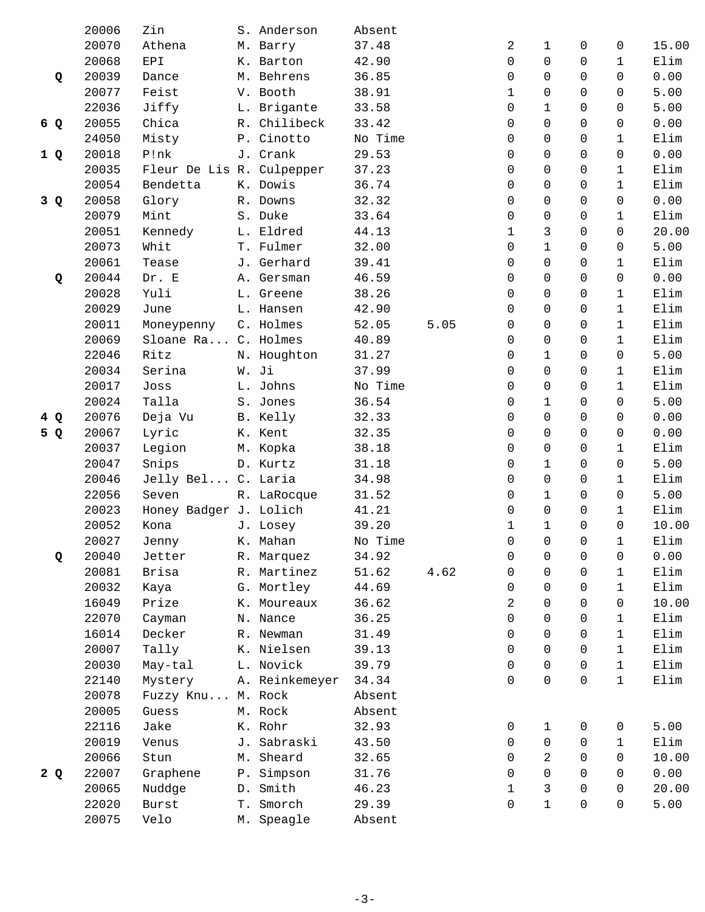|     | 20006          | Zin                       | S. Anderson    | Absent  |      |          |              |             |              |       |
|-----|----------------|---------------------------|----------------|---------|------|----------|--------------|-------------|--------------|-------|
|     | 20070          | Athena                    | M. Barry       | 37.48   |      | 2        | $\mathbf{1}$ | 0           | 0            | 15.00 |
|     | 20068          | EPI                       | K. Barton      | 42.90   |      | 0        | $\Omega$     | 0           | $\mathbf{1}$ | Elim  |
| Q   | 20039          | Dance                     | M. Behrens     | 36.85   |      | 0        | $\Omega$     | $\Omega$    | $\Omega$     | 0.00  |
|     | 20077          | Feist                     | V. Booth       | 38.91   |      | 1        | $\Omega$     | $\Omega$    | $\Omega$     | 5.00  |
|     | 22036          | Jiffy                     | L. Brigante    | 33.58   |      | 0        | $\mathbf{1}$ | $\Omega$    | $\Omega$     | 5.00  |
| 6 Q | 20055          | Chica                     | R. Chilibeck   | 33.42   |      | 0        | 0            | $\mathbf 0$ | 0            | 0.00  |
|     | 24050          | Misty                     | P. Cinotto     | No Time |      | 0        | 0            | $\Omega$    | 1            | Elim  |
| 1Q  | 20018          | P!nk                      | J. Crank       | 29.53   |      | 0        | $\Omega$     | $\Omega$    | $\Omega$     | 0.00  |
|     | 20035          | Fleur De Lis R. Culpepper |                | 37.23   |      | 0        | $\Omega$     | $\Omega$    | 1            | Elim  |
|     | 20054          | Bendetta                  | K. Dowis       | 36.74   |      | 0        | 0            | 0           | $\mathbf{1}$ | Elim  |
| 3Q  | 20058          | Glory                     | R. Downs       | 32.32   |      | 0        | 0            | $\Omega$    | 0            | 0.00  |
|     | 20079          | Mint                      | S. Duke        | 33.64   |      | $\Omega$ | $\Omega$     | $\Omega$    | $\mathbf{1}$ | Elim  |
|     | 20051          | Kennedy                   | L. Eldred      | 44.13   |      | 1        | 3            | $\Omega$    | $\Omega$     | 20.00 |
|     | 20073          | Whit                      | T. Fulmer      | 32.00   |      | 0        | $\mathbf{1}$ | $\mathbf 0$ | 0            | 5.00  |
|     | 20061          | Tease                     | J. Gerhard     | 39.41   |      | 0        | 0            | 0           | 1            | Elim  |
| Q   | 20044          | Dr. E                     | A. Gersman     | 46.59   |      | $\Omega$ | $\Omega$     | 0           | $\Omega$     | 0.00  |
|     | 20028          | Yuli                      | L. Greene      | 38.26   |      | $\Omega$ | $\Omega$     | $\Omega$    | $\mathbf{1}$ | Elim  |
|     | 20029          | June                      | L. Hansen      | 42.90   |      | 0        | $\mathbf 0$  | $\mathbf 0$ | $\mathbf{1}$ | Elim  |
|     | 20011          | Moneypenny                | C. Holmes      | 52.05   | 5.05 | 0        | $\Omega$     | 0           | $\mathbf{1}$ | Elim  |
|     | 20069          | Sloane Ra C. Holmes       |                | 40.89   |      | $\Omega$ | $\Omega$     | $\Omega$    | $\mathbf{1}$ | Elim  |
|     | 22046          | Ritz                      | N. Houghton    | 31.27   |      | 0        | $\mathbf{1}$ | $\Omega$    | $\mathbf 0$  | 5.00  |
|     | 20034          | Serina                    | W. Ji          | 37.99   |      | 0        | $\Omega$     | $\mathbf 0$ | $\mathbf{1}$ | Elim  |
|     | 20017          | Joss                      | L. Johns       | No Time |      | 0        | 0            | 0           | 1            | Elim  |
|     | 20024          | Talla                     | S. Jones       | 36.54   |      | $\Omega$ | $\mathbf{1}$ | $\Omega$    | $\Omega$     | 5.00  |
| 4Q  | 20076          | Deja Vu                   | B. Kelly       | 32.33   |      | $\Omega$ | $\Omega$     | $\Omega$    | 0            | 0.00  |
|     | 20067          | Lyric                     | K. Kent        | 32.35   |      | 0        | $\Omega$     | $\Omega$    | $\Omega$     | 0.00  |
| 5 Q |                |                           |                |         |      | 0        | 0            | 0           | $\mathbf{1}$ | Elim  |
|     | 20037          | Legion                    | M. Kopka       | 38.18   |      |          |              |             |              |       |
|     | 20047<br>20046 | Snips                     | D. Kurtz       | 31.18   |      | 0        | $\mathbf{1}$ | $\Omega$    | 0            | 5.00  |
|     |                | Jelly Bel C. Laria        |                | 34.98   |      | 0        | $\Omega$     | $\Omega$    | $\mathbf{1}$ | Elim  |
|     | 22056          | Seven                     | R. LaRocque    | 31.52   |      | 0        | $\mathbf{1}$ | $\Omega$    | 0            | 5.00  |
|     | 20023          | Honey Badger J. Lolich    |                | 41.21   |      | 0        | $\mathbf 0$  | 0           | $\mathbf{1}$ | Elim  |
|     | 20052          | Kona                      | J. Losey       | 39.20   |      | 1        | $\mathbf{1}$ | $\Omega$    | $\Omega$     | 10.00 |
|     | 20027          | Jenny                     | K. Mahan       | No Time |      | 0        | 0            | 0           | 1            | Elim  |
| Q   | 20040          | Jetter                    | R. Marquez     | 34.92   |      | 0        | 0            | 0           | 0            | 0.00  |
|     | 20081          | Brisa                     | R. Martinez    | 51.62   | 4.62 | 0        | $\mathbf 0$  | 0           | $\mathbf{1}$ | Elim  |
|     | 20032          | Kaya                      | G. Mortley     | 44.69   |      | 0        | 0            | $\Omega$    | 1            | Elim  |
|     | 16049          | Prize                     | K. Moureaux    | 36.62   |      | 2        | $\Omega$     | 0           | 0            | 10.00 |
|     | 22070          | Cayman                    | N. Nance       | 36.25   |      | 0        | $\Omega$     | $\Omega$    | 1            | Elim  |
|     | 16014          | Decker                    | R. Newman      | 31.49   |      | 0        | 0            | $\mathbf 0$ | $\mathbf{1}$ | Elim  |
|     | 20007          | Tally                     | K. Nielsen     | 39.13   |      | 0        | $\Omega$     | 0           | $\mathbf{1}$ | Elim  |
|     | 20030          | May-tal                   | L. Novick      | 39.79   |      | 0        | $\Omega$     | $\Omega$    | $\mathbf{1}$ | Elim  |
|     | 22140          | Mystery                   | A. Reinkemeyer | 34.34   |      | 0        | $\Omega$     | $\Omega$    | $\mathbf{1}$ | Elim  |
|     | 20078          | Fuzzy Knu M. Rock         |                | Absent  |      |          |              |             |              |       |
|     | 20005          | Guess                     | M. Rock        | Absent  |      |          |              |             |              |       |
|     | 22116          | Jake                      | K. Rohr        | 32.93   |      | 0        | 1            | 0           | 0            | 5.00  |
|     | 20019          | Venus                     | J. Sabraski    | 43.50   |      | 0        | $\Omega$     | 0           | 1            | Elim  |
|     | 20066          | Stun                      | M. Sheard      | 32.65   |      | 0        | 2            | 0           | 0            | 10.00 |
| 2Q  | 22007          | Graphene                  | P. Simpson     | 31.76   |      | 0        | $\mathbf 0$  | 0           | 0            | 0.00  |
|     | 20065          | Nuddge                    | D. Smith       | 46.23   |      | 1        | 3            | $\Omega$    | 0            | 20.00 |
|     | 22020          | Burst                     | T. Smorch      | 29.39   |      | 0        | $\mathbf{1}$ | 0           | 0            | 5.00  |
|     | 20075          | Velo                      | M. Speagle     | Absent  |      |          |              |             |              |       |
|     |                |                           |                |         |      |          |              |             |              |       |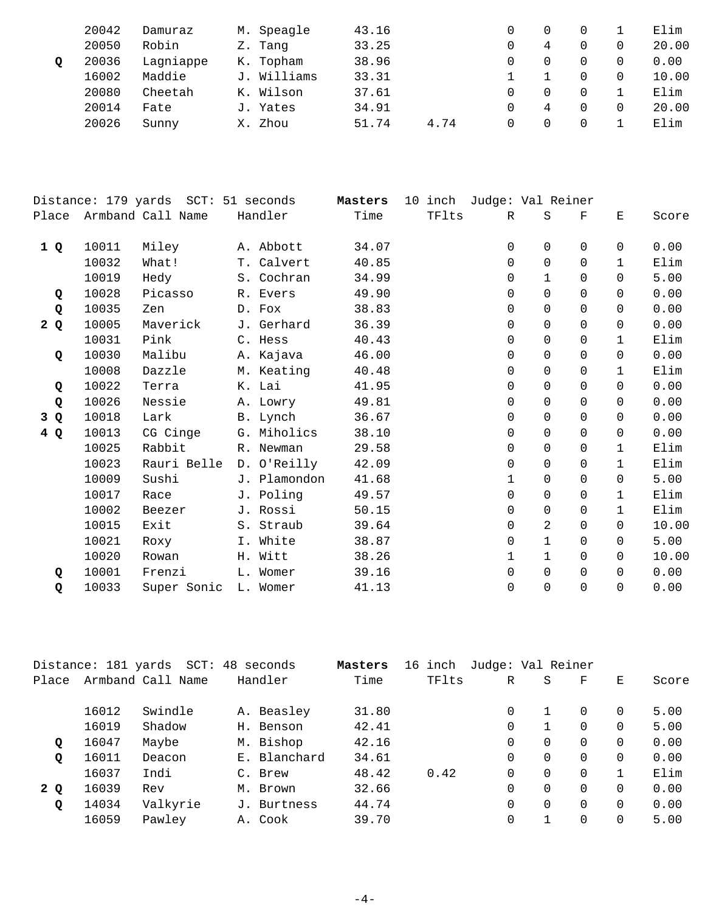|   | 20042 | Damuraz   | M. Speagle  | 43.16 |      |   |          | Elim  |
|---|-------|-----------|-------------|-------|------|---|----------|-------|
|   | 20050 | Robin     | Z. Tang     | 33.25 |      | 4 |          | 20.00 |
| Q | 20036 | Lagniappe | K. Topham   | 38.96 |      | 0 |          | 0.00  |
|   | 16002 | Maddie    | J. Williams | 33.31 |      |   |          | 10.00 |
|   | 20080 | Cheetah   | K. Wilson   | 37.61 |      | 0 |          | Elim  |
|   | 20014 | Fate      | J. Yates    | 34.91 |      | 4 | $\Omega$ | 20.00 |
|   | 20026 | Sunny     | X. Zhou     | 51.74 | 4.74 | 0 |          | Elim  |
|   |       |           |             |       |      |   |          |       |

|     |       | Distance: 179 yards SCT: | 51 seconds   | Masters | 10 inch | Judge: Val Reiner |              |          |              |       |
|-----|-------|--------------------------|--------------|---------|---------|-------------------|--------------|----------|--------------|-------|
|     |       | Place Armband Call Name  | Handler      | Time    | TFlts   | $\mathbb{R}$      | $\rm S$      | F        | Ε            | Score |
| 1Q  | 10011 | Miley                    | A. Abbott    | 34.07   |         | 0                 | $\Omega$     | $\Omega$ | $\Omega$     | 0.00  |
|     | 10032 | What!                    | T. Calvert   | 40.85   |         | $\Omega$          | $\Omega$     | $\Omega$ | 1            | Elim  |
|     | 10019 | Hedy                     | S. Cochran   | 34.99   |         | $\Omega$          | $\mathbf{1}$ | $\Omega$ | $\Omega$     | 5.00  |
| Q   | 10028 | Picasso                  | R. Evers     | 49.90   |         | $\Omega$          | $\Omega$     | $\Omega$ | $\Omega$     | 0.00  |
| Q   | 10035 | Zen                      | D. Fox       | 38.83   |         | $\Omega$          | $\Omega$     | $\Omega$ | $\Omega$     | 0.00  |
| 2Q  | 10005 | Maverick                 | J. Gerhard   | 36.39   |         | $\mathbf 0$       | 0            | $\Omega$ | $\Omega$     | 0.00  |
|     | 10031 | Pink                     | C. Hess      | 40.43   |         | $\mathbf 0$       | 0            | $\Omega$ | $\mathbf{1}$ | Elim  |
| Q   | 10030 | Malibu                   | A. Kajava    | 46.00   |         | $\mathbf 0$       | 0            | $\Omega$ | $\Omega$     | 0.00  |
|     | 10008 | Dazzle                   | M. Keating   | 40.48   |         | 0                 | $\Omega$     | $\Omega$ | $\mathbf{1}$ | Elim  |
| Q   | 10022 | Terra                    | K. Lai       | 41.95   |         | 0                 | 0            | $\Omega$ | $\Omega$     | 0.00  |
| Q   | 10026 | Nessie                   | A. Lowry     | 49.81   |         | $\Omega$          | $\Omega$     | $\Omega$ | $\Omega$     | 0.00  |
| 3 Q | 10018 | Lark                     | B. Lynch     | 36.67   |         | $\Omega$          | $\Omega$     | $\Omega$ | $\Omega$     | 0.00  |
| 4Q  | 10013 | CG Cinge                 | G. Miholics  | 38.10   |         | $\Omega$          | $\Omega$     | $\Omega$ | $\Omega$     | 0.00  |
|     | 10025 | Rabbit                   | R. Newman    | 29.58   |         | 0                 | $\Omega$     | $\Omega$ | $\mathbf{1}$ | Elim  |
|     | 10023 | Rauri Belle              | D. O'Reilly  | 42.09   |         | $\mathbf 0$       | $\Omega$     | $\Omega$ | $\mathbf{1}$ | Elim  |
|     | 10009 | Sushi                    | J. Plamondon | 41.68   |         | $\mathbf 1$       | 0            | $\Omega$ | $\Omega$     | 5.00  |
|     | 10017 | Race                     | J. Poling    | 49.57   |         | $\Omega$          | $\Omega$     | $\Omega$ | $\mathbf{1}$ | Elim  |
|     | 10002 | Beezer                   | J. Rossi     | 50.15   |         | $\Omega$          | 0            | $\Omega$ | $\mathbf{1}$ | Elim  |
|     | 10015 | Exit                     | S. Straub    | 39.64   |         | 0                 | 2            | $\Omega$ | $\Omega$     | 10.00 |
|     | 10021 | Roxy                     | I. White     | 38.87   |         | $\Omega$          | $\mathbf{1}$ | $\Omega$ | $\Omega$     | 5.00  |
|     | 10020 | Rowan                    | H. Witt      | 38.26   |         | $\mathbf{1}$      | $\mathbf{1}$ | $\Omega$ | $\Omega$     | 10.00 |
| Q   | 10001 | Frenzi                   | L. Womer     | 39.16   |         | 0                 | 0            | $\Omega$ | $\Omega$     | 0.00  |
| Q   | 10033 | Super Sonic              | L. Womer     | 41.13   |         | $\Omega$          | $\Omega$     | $\Omega$ | $\Omega$     | 0.00  |
|     |       |                          |              |         |         |                   |              |          |              |       |

|       | Distance: 181 yards | SCT: 48           | seconds      | Masters | inch<br>16 | Judge: Val Reiner |          |          |   |       |
|-------|---------------------|-------------------|--------------|---------|------------|-------------------|----------|----------|---|-------|
| Place |                     | Armband Call Name | Handler      | Time    | TFlts      | R                 | S        | F        | Е | Score |
|       | 16012               | Swindle           | A. Beasley   | 31.80   |            | 0                 |          | $\Omega$ | 0 | 5.00  |
|       | 16019               | Shadow            | H. Benson    | 42.41   |            | $\Omega$          |          | $\Omega$ | 0 | 5.00  |
| Q     | 16047               | Maybe             | M. Bishop    | 42.16   |            | $\Omega$          | $\Omega$ | $\Omega$ | 0 | 0.00  |
| Q     | 16011               | Deacon            | E. Blanchard | 34.61   |            | $\Omega$          | $\Omega$ | $\Omega$ | 0 | 0.00  |
|       | 16037               | Indi              | C. Brew      | 48.42   | 0.42       | $\Omega$          | $\Omega$ | $\Omega$ |   | Elim  |
| 2 Q   | 16039               | Rev               | M. Brown     | 32.66   |            | $\Omega$          | $\Omega$ | $\Omega$ | 0 | 0.00  |
| Q     | 14034               | Valkyrie          | J. Burtness  | 44.74   |            | $\Omega$          | $\Omega$ | $\Omega$ | 0 | 0.00  |
|       | 16059               | Pawley            | A. Cook      | 39.70   |            | 0                 |          | $\Omega$ | 0 | 5.00  |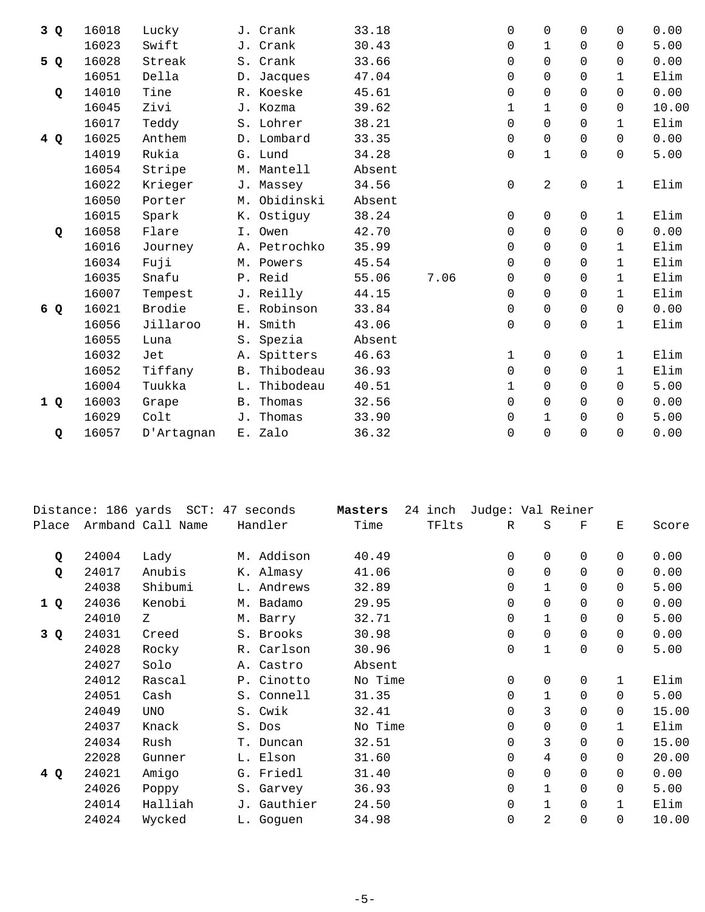| 3Q  | 16018 | Lucky      |            | J. Crank     | 33.18  |      | 0            | $\Omega$     | $\Omega$ | $\Omega$     | 0.00  |
|-----|-------|------------|------------|--------------|--------|------|--------------|--------------|----------|--------------|-------|
|     | 16023 | Swift      |            | J. Crank     | 30.43  |      | $\Omega$     | $\mathbf{1}$ | 0        | $\Omega$     | 5.00  |
| 5 Q | 16028 | Streak     |            | S. Crank     | 33.66  |      | $\Omega$     | $\Omega$     | $\Omega$ | $\Omega$     | 0.00  |
|     | 16051 | Della      |            | D. Jacques   | 47.04  |      | 0            | $\Omega$     | $\Omega$ | $\mathbf{1}$ | Elim  |
| Q   | 14010 | Tine       |            | R. Koeske    | 45.61  |      | $\Omega$     | $\Omega$     | $\Omega$ | $\Omega$     | 0.00  |
|     | 16045 | Zivi       |            | J. Kozma     | 39.62  |      | $\mathbf{1}$ | $\mathbf{1}$ | $\Omega$ | $\Omega$     | 10.00 |
|     | 16017 | Teddy      |            | S. Lohrer    | 38.21  |      | $\Omega$     | $\mathbf 0$  | $\Omega$ | $\mathbf{1}$ | Elim  |
| 4 Q | 16025 | Anthem     |            | D. Lombard   | 33.35  |      | 0            | 0            | $\Omega$ | $\Omega$     | 0.00  |
|     | 14019 | Rukia      |            | G. Lund      | 34.28  |      | 0            | $\mathbf 1$  | $\Omega$ | $\Omega$     | 5.00  |
|     | 16054 | Stripe     |            | M. Mantell   | Absent |      |              |              |          |              |       |
|     | 16022 | Krieger    |            | J. Massey    | 34.56  |      | 0            | 2            | $\Omega$ | $\mathbf{1}$ | Elim  |
|     | 16050 | Porter     |            | M. Obidinski | Absent |      |              |              |          |              |       |
|     | 16015 | Spark      | К.         | Ostiguy      | 38.24  |      | 0            | $\Omega$     | 0        | $\mathbf{1}$ | Elim  |
| Q   | 16058 | Flare      |            | I. Owen      | 42.70  |      | $\Omega$     | $\Omega$     | $\Omega$ | $\Omega$     | 0.00  |
|     | 16016 | Journey    |            | A. Petrochko | 35.99  |      | $\Omega$     | $\Omega$     | $\Omega$ | $\mathbf{1}$ | Elim  |
|     | 16034 | Fuji       |            | M. Powers    | 45.54  |      | 0            | $\Omega$     | $\Omega$ | $\mathbf{1}$ | Elim  |
|     | 16035 | Snafu      |            | P. Reid      | 55.06  | 7.06 | 0            | $\Omega$     | $\Omega$ | $\mathbf{1}$ | Elim  |
|     | 16007 | Tempest    |            | J. Reilly    | 44.15  |      | $\Omega$     | $\Omega$     | $\Omega$ | $\mathbf{1}$ | Elim  |
| 6 Q | 16021 | Brodie     |            | E. Robinson  | 33.84  |      | 0            | $\Omega$     | $\Omega$ | $\Omega$     | 0.00  |
|     | 16056 | Jillaroo   | Н.         | Smith        | 43.06  |      | 0            | $\mathbf 0$  | $\Omega$ | $\mathbf{1}$ | Elim  |
|     | 16055 | Luna       | $S$ .      | Spezia       | Absent |      |              |              |          |              |       |
|     | 16032 | Jet        | Α.         | Spitters     | 46.63  |      | 1            | $\mathsf{O}$ | $\Omega$ | $\mathbf{1}$ | Elim  |
|     | 16052 | Tiffany    | <b>B</b> . | Thibodeau    | 36.93  |      | $\Omega$     | $\Omega$     | $\Omega$ | $\mathbf{1}$ | Elim  |
|     | 16004 | Tuukka     | L.         | Thibodeau    | 40.51  |      | $\mathbf{1}$ | $\Omega$     | $\Omega$ | $\Omega$     | 5.00  |
| 1Q  | 16003 | Grape      | <b>B</b> . | Thomas       | 32.56  |      | 0            | $\Omega$     | $\Omega$ | $\Omega$     | 0.00  |
|     | 16029 | Colt       | J.         | Thomas       | 33.90  |      | $\Omega$     | $\mathbf{1}$ | $\Omega$ | $\Omega$     | 5.00  |
| Q   | 16057 | D'Artagnan |            | E. Zalo      | 36.32  |      | 0            | $\Omega$     | $\Omega$ | $\Omega$     | 0.00  |
|     |       |            |            |              |        |      |              |              |          |              |       |

|       |       | Distance: 186 yards SCT: 47 seconds |             | Masters | 24 inch | Judge: Val Reiner |              |             |              |       |
|-------|-------|-------------------------------------|-------------|---------|---------|-------------------|--------------|-------------|--------------|-------|
| Place |       | Armband Call Name                   | Handler     | Time    | TFlts   | R                 | S            | F           | E            | Score |
| Q     | 24004 | Lady                                | M. Addison  | 40.49   |         | 0                 | $\mathbf 0$  | $\Omega$    | $\Omega$     | 0.00  |
| Q     | 24017 | Anubis                              | K. Almasy   | 41.06   |         | 0                 | $\mathbf 0$  | $\Omega$    | $\Omega$     | 0.00  |
|       | 24038 | Shibumi                             | L. Andrews  | 32.89   |         | 0                 | $\mathbf{1}$ | $\Omega$    | $\Omega$     | 5.00  |
| 1 Q   | 24036 | Kenobi                              | M. Badamo   | 29.95   |         | 0                 | $\Omega$     | $\Omega$    | $\Omega$     | 0.00  |
|       | 24010 | Z                                   | M. Barry    | 32.71   |         | 0                 | $\mathbf 1$  | $\mathbf 0$ | $\Omega$     | 5.00  |
| 3Q    | 24031 | Creed                               | S. Brooks   | 30.98   |         | 0                 | 0            | $\Omega$    | $\Omega$     | 0.00  |
|       | 24028 | Rocky                               | R. Carlson  | 30.96   |         | 0                 | $\mathbf{1}$ | $\mathbf 0$ | $\Omega$     | 5.00  |
|       | 24027 | Solo                                | A. Castro   | Absent  |         |                   |              |             |              |       |
|       | 24012 | Rascal                              | P. Cinotto  | No Time |         | 0                 | $\Omega$     | $\Omega$    | $\mathbf{1}$ | Elim  |
|       | 24051 | Cash                                | S. Connell  | 31.35   |         | $\Omega$          | $\mathbf{1}$ | $\Omega$    | $\Omega$     | 5.00  |
|       | 24049 | <b>UNO</b>                          | S. Cwik     | 32.41   |         | $\Omega$          | 3            | $\Omega$    | $\Omega$     | 15.00 |
|       | 24037 | Knack                               | S. Dos      | No Time |         | 0                 | $\mathbf 0$  | $\Omega$    | $\mathbf{1}$ | Elim  |
|       | 24034 | Rush                                | T. Duncan   | 32.51   |         | $\Omega$          | 3            | $\Omega$    | $\Omega$     | 15.00 |
|       | 22028 | Gunner                              | L. Elson    | 31.60   |         | 0                 | 4            | $\Omega$    | $\Omega$     | 20.00 |
| 4 Q   | 24021 | Amigo                               | G. Friedl   | 31.40   |         | 0                 | $\mathbf 0$  | $\Omega$    | $\Omega$     | 0.00  |
|       | 24026 | Poppy                               | S. Garvey   | 36.93   |         | 0                 | $\mathbf{1}$ | $\Omega$    | $\Omega$     | 5.00  |
|       | 24014 | Halliah                             | J. Gauthier | 24.50   |         | 0                 | 1            | 0           | 1            | Elim  |
|       | 24024 | Wycked                              | L. Goquen   | 34.98   |         | 0                 | 2            | $\mathbf 0$ | $\Omega$     | 10.00 |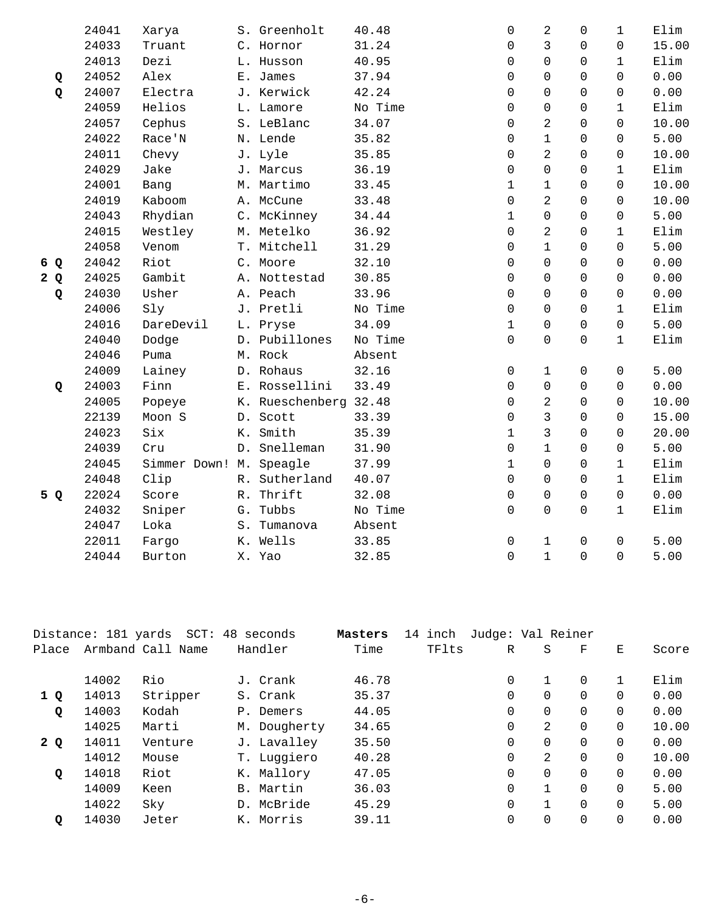|     | 24041 | Xarya                   |    | S. Greenholt          | 40.48   | 0                   | $\overline{c}$ | $\mathsf{O}$ | $\mathbf{1}$ | Elim  |
|-----|-------|-------------------------|----|-----------------------|---------|---------------------|----------------|--------------|--------------|-------|
|     | 24033 | Truant                  |    | C. Hornor             | 31.24   | $\mathbf 0$         | $\mathfrak{Z}$ | $\mathbf 0$  | $\Omega$     | 15.00 |
|     | 24013 | Dezi                    |    | L. Husson             | 40.95   | $\mathbf 0$         | $\Omega$       | $\Omega$     | $\mathbf{1}$ | Elim  |
| Q   | 24052 | Alex                    |    | E. James              | 37.94   | $\Omega$            | $\Omega$       | $\Omega$     | $\Omega$     | 0.00  |
| Q   | 24007 | Electra                 |    | J. Kerwick            | 42.24   | $\mathbf 0$         | $\Omega$       | $\Omega$     | $\Omega$     | 0.00  |
|     | 24059 | Helios                  |    | L. Lamore             | No Time | 0                   | $\mathbf 0$    | $\Omega$     | $\mathbf{1}$ | Elim  |
|     | 24057 | Cephus                  |    | S. LeBlanc            | 34.07   | 0                   | $\overline{a}$ | 0            | 0            | 10.00 |
|     | 24022 | Race'N                  |    | N. Lende              | 35.82   | 0                   | $\mathbf{1}$   | $\mathbf 0$  | $\Omega$     | 5.00  |
|     | 24011 | Chevy                   |    | J. Lyle               | 35.85   | $\mathbf 0$         | $\overline{2}$ | $\Omega$     | $\mathbf 0$  | 10.00 |
|     | 24029 | Jake                    |    | J. Marcus             | 36.19   | $\Omega$            | $\Omega$       | $\Omega$     | $\mathbf{1}$ | Elim  |
|     | 24001 | Bang                    |    | M. Martimo            | 33.45   | $\mathbf{1}$        | $\mathbf 1$    | $\Omega$     | 0            | 10.00 |
|     | 24019 | Kaboom                  |    | A. McCune             | 33.48   | $\mathbf 0$         | 2              | $\Omega$     | $\Omega$     | 10.00 |
|     | 24043 | Rhydian                 |    | C. McKinney           | 34.44   | $\mathbf{1}$        | 0              | $\Omega$     | $\Omega$     | 5.00  |
|     | 24015 | Westley                 |    | M. Metelko            | 36.92   | $\mathbf 0$         | $\overline{2}$ | $\mathbf 0$  | $\mathbf 1$  | Elim  |
|     | 24058 | Venom                   |    | T. Mitchell           | 31.29   | $\mathbf 0$         | $\mathbf{1}$   | $\mathbf 0$  | $\Omega$     | 5.00  |
| 6 Q | 24042 | Riot                    |    | C. Moore              | 32.10   | $\Omega$            | $\Omega$       | $\Omega$     | $\Omega$     | 0.00  |
| 2Q  | 24025 | Gambit                  |    | A. Nottestad          | 30.85   | $\Omega$            | $\Omega$       | $\Omega$     | $\Omega$     | 0.00  |
| Q   | 24030 | Usher                   |    | A. Peach              | 33.96   | $\Omega$            | $\Omega$       | $\Omega$     | $\Omega$     | 0.00  |
|     | 24006 | Sly                     |    | J. Pretli             | No Time | $\mathbf 0$         | $\Omega$       | $\Omega$     | $\mathbf{1}$ | Elim  |
|     | 24016 | DareDevil               |    | L. Pryse              | 34.09   | $\mathbf{1}$        | $\Omega$       | $\Omega$     | $\Omega$     | 5.00  |
|     | 24040 | Dodge                   |    | D. Pubillones         | No Time | 0                   | 0              | $\mathbf{0}$ | $\mathbf 1$  | Elim  |
|     | 24046 | Puma                    |    | M. Rock               | Absent  |                     |                |              |              |       |
|     | 24009 | Lainey                  |    | D. Rohaus             | 32.16   | 0                   | $\mathbf 1$    | $\mathsf{O}$ | $\Omega$     | 5.00  |
| Q   | 24003 | Finn                    |    | E. Rossellini         | 33.49   | $\mathbf 0$         | 0              | $\Omega$     | 0            | 0.00  |
|     | 24005 | Popeye                  |    | K. Rueschenberg 32.48 |         | $\Omega$            | 2              | $\Omega$     | $\Omega$     | 10.00 |
|     | 22139 | Moon S                  |    | D. Scott              | 33.39   | $\mathbf 0$         | 3              | $\Omega$     | $\Omega$     | 15.00 |
|     | 24023 | Six                     |    | K. Smith              | 35.39   | $\mathbf{1}$        | $\overline{3}$ | $\Omega$     | $\Omega$     | 20.00 |
|     | 24039 | Cru                     |    | D. Snelleman          | 31.90   | 0                   | $\mathbf{1}$   | $\mathsf{O}$ | $\mathbf 0$  | 5.00  |
|     | 24045 | Simmer Down! M. Speagle |    |                       | 37.99   | $\mathbf{1}$        | $\Omega$       | $\mathbf 0$  | $\mathbf{1}$ | Elim  |
|     | 24048 | Clip                    |    | R. Sutherland         | 40.07   | $\mathbf 0$         | $\Omega$       | $\Omega$     | $\mathbf{1}$ | Elim  |
| 5 Q | 22024 | Score                   | R. | Thrift                | 32.08   | $\Omega$            | $\Omega$       | $\Omega$     | $\Omega$     | 0.00  |
|     | 24032 | Sniper                  |    | G. Tubbs              | No Time | $\mathbf 0$         | 0              | $\mathbf 0$  | $\mathbf{1}$ | Elim  |
|     | 24047 | Loka                    |    | S. Tumanova           | Absent  |                     |                |              |              |       |
|     | 22011 | Fargo                   |    | K. Wells              | 33.85   | $\mathsf{O}\xspace$ | $\mathbf 1$    | $\mathbf 0$  | $\mathbf 0$  | 5.00  |
|     | 24044 | Burton                  |    | X. Yao                | 32.85   | $\overline{0}$      | $\mathbf{1}$   | $\Omega$     | $\Omega$     | 5.00  |

|       | Distance: 181 yards |                   | SCT: 48 seconds | Masters | inch<br>14 | Judge: Val Reiner |          |          |          |       |
|-------|---------------------|-------------------|-----------------|---------|------------|-------------------|----------|----------|----------|-------|
| Place |                     | Armband Call Name | Handler         | Time    | TFlts      | R                 | S        | F        | Е        | Score |
|       |                     |                   |                 |         |            |                   |          |          |          |       |
|       | 14002               | Rio               | J. Crank        | 46.78   |            | $\Omega$          |          | $\Omega$ |          | Elim  |
| 1 Q   | 14013               | Stripper          | S. Crank        | 35.37   |            | 0                 | $\Omega$ | $\Omega$ | $\Omega$ | 0.00  |
| Q     | 14003               | Kodah             | P. Demers       | 44.05   |            | 0                 | 0        | $\Omega$ | 0        | 0.00  |
|       | 14025               | Marti             | M. Dougherty    | 34.65   |            | $\mathbf 0$       | 2        | $\Omega$ | $\Omega$ | 10.00 |
| 2Q    | 14011               | Venture           | J. Lavalley     | 35.50   |            | 0                 | $\Omega$ | $\Omega$ | $\Omega$ | 0.00  |
|       | 14012               | Mouse             | T. Luggiero     | 40.28   |            | $\Omega$          | 2        | $\Omega$ | $\Omega$ | 10.00 |
| Q     | 14018               | Riot              | K. Mallory      | 47.05   |            | $\Omega$          | $\Omega$ | $\Omega$ | $\Omega$ | 0.00  |
|       | 14009               | Keen              | B. Martin       | 36.03   |            | $\Omega$          | 1        | $\Omega$ | $\Omega$ | 5.00  |
|       | 14022               | Sky               | D. McBride      | 45.29   |            | $\Omega$          |          | $\Omega$ | $\Omega$ | 5.00  |
| Q     | 14030               | Jeter             | K. Morris       | 39.11   |            | $\Omega$          | $\Omega$ | $\Omega$ | $\Omega$ | 0.00  |